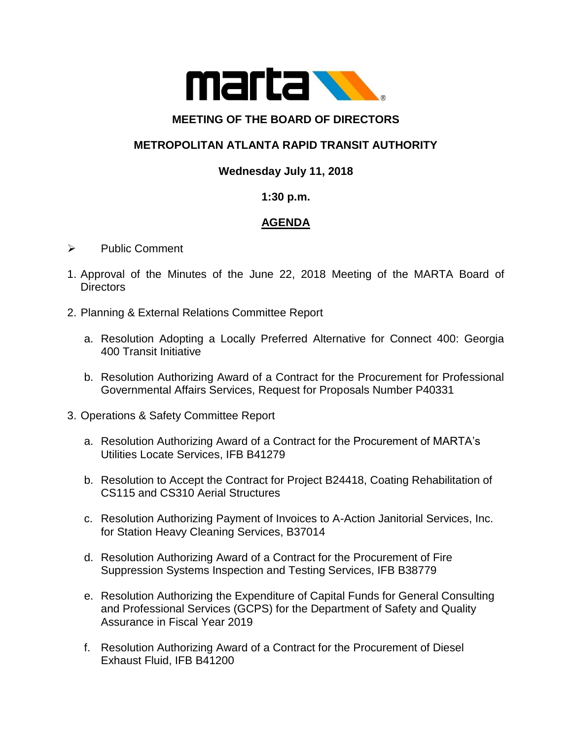

#### **MEETING OF THE BOARD OF DIRECTORS**

## **METROPOLITAN ATLANTA RAPID TRANSIT AUTHORITY**

## **Wednesday July 11, 2018**

#### **1:30 p.m.**

# **AGENDA**

- ➢ Public Comment
- 1. Approval of the Minutes of the June 22, 2018 Meeting of the MARTA Board of **Directors**
- 2. Planning & External Relations Committee Report
	- a. Resolution Adopting a Locally Preferred Alternative for Connect 400: Georgia 400 Transit Initiative
	- b. Resolution Authorizing Award of a Contract for the Procurement for Professional Governmental Affairs Services, Request for Proposals Number P40331
- 3. Operations & Safety Committee Report
	- a. Resolution Authorizing Award of a Contract for the Procurement of MARTA's Utilities Locate Services, IFB B41279
	- b. Resolution to Accept the Contract for Project B24418, Coating Rehabilitation of CS115 and CS310 Aerial Structures
	- c. Resolution Authorizing Payment of Invoices to A-Action Janitorial Services, Inc. for Station Heavy Cleaning Services, B37014
	- d. Resolution Authorizing Award of a Contract for the Procurement of Fire Suppression Systems Inspection and Testing Services, IFB B38779
	- e. Resolution Authorizing the Expenditure of Capital Funds for General Consulting and Professional Services (GCPS) for the Department of Safety and Quality Assurance in Fiscal Year 2019
	- f. Resolution Authorizing Award of a Contract for the Procurement of Diesel Exhaust Fluid, IFB B41200